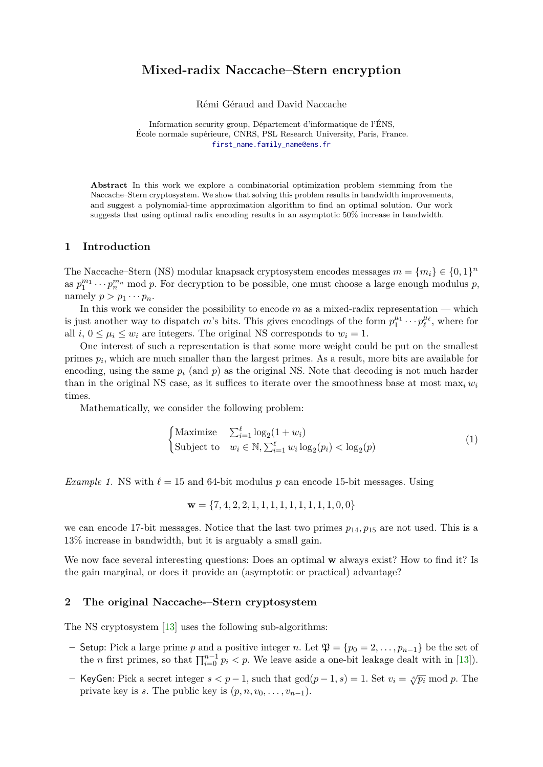## **Mixed-radix Naccache–Stern encryption**

Rémi Géraud and David Naccache

Information security group, Département d'informatique de l'ÉNS, École normale supérieure, CNRS, PSL Research University, Paris, France. [first\\_name.family\\_name@ens.fr](first_name.family_name@ens.fr)

**Abstract** In this work we explore a combinatorial optimization problem stemming from the Naccache–Stern cryptosystem. We show that solving this problem results in bandwidth improvements, and suggest a polynomial-time approximation algorithm to find an optimal solution. Our work suggests that using optimal radix encoding results in an asymptotic 50% increase in bandwidth.

#### **1 Introduction**

The Naccache–Stern (NS) modular knapsack cryptosystem encodes messages  $m = \{m_i\} \in \{0, 1\}^n$ as  $p_1^{m_1} \cdots p_n^{m_n}$  mod *p*. For decryption to be possible, one must choose a large enough modulus *p*, namely  $p > p_1 \cdots p_n$ .

In this work we consider the possibility to encode *m* as a mixed-radix representation — which is just another way to dispatch *m*'s bits. This gives encodings of the form  $p_1^{\mu_1} \cdots p_\ell^{\mu_\ell}$ , where for all *i*,  $0 \leq \mu_i \leq w_i$  are integers. The original NS corresponds to  $w_i = 1$ .

One interest of such a representation is that some more weight could be put on the smallest primes *p<sup>i</sup>* , which are much smaller than the largest primes. As a result, more bits are available for encoding, using the same  $p_i$  (and  $p$ ) as the original NS. Note that decoding is not much harder than in the original NS case, as it suffices to iterate over the smoothness base at most  $\max_i w_i$ times.

Mathematically, we consider the following problem:

<span id="page-0-0"></span>
$$
\begin{cases}\n\text{Maximize} & \sum_{i=1}^{\ell} \log_2(1+w_i) \\
\text{Subject to} & w_i \in \mathbb{N}, \sum_{i=1}^{\ell} w_i \log_2(p_i) < \log_2(p)\n\end{cases} \tag{1}
$$

<span id="page-0-1"></span>*Example 1.* NS with  $\ell = 15$  and 64-bit modulus p can encode 15-bit messages. Using

$$
\mathbf{w} = \{7, 4, 2, 2, 1, 1, 1, 1, 1, 1, 1, 1, 1, 0, 0\}
$$

we can encode 17-bit messages. Notice that the last two primes  $p_{14}, p_{15}$  are not used. This is a 13% increase in bandwidth, but it is arguably a small gain.

We now face several interesting questions: Does an optimal **w** always exist? How to find it? Is the gain marginal, or does it provide an (asymptotic or practical) advantage?

## **2 The original Naccache-–Stern cryptosystem**

The NS cryptosystem [\[13\]](#page-8-0) uses the following sub-algorithms:

- **–** Setup: Pick a large prime *p* and a positive integer *n*. Let  $\mathfrak{P} = \{p_0 = 2, \ldots, p_{n-1}\}$  be the set of the *n* first primes, so that  $\prod_{i=0}^{n-1} p_i < p$ . We leave aside a one-bit leakage dealt with in [\[13\]](#page-8-0)).
- **–** KeyGen: Pick a secret integer *s < p* − 1, such that gcd(*p* − 1*, s*) = 1. Set *v<sup>i</sup>* = <sup>√</sup>*<sup>s</sup> <sup>p</sup><sup>i</sup>* mod *<sup>p</sup>*. The private key is *s*. The public key is  $(p, n, v_0, \ldots, v_{n-1})$ .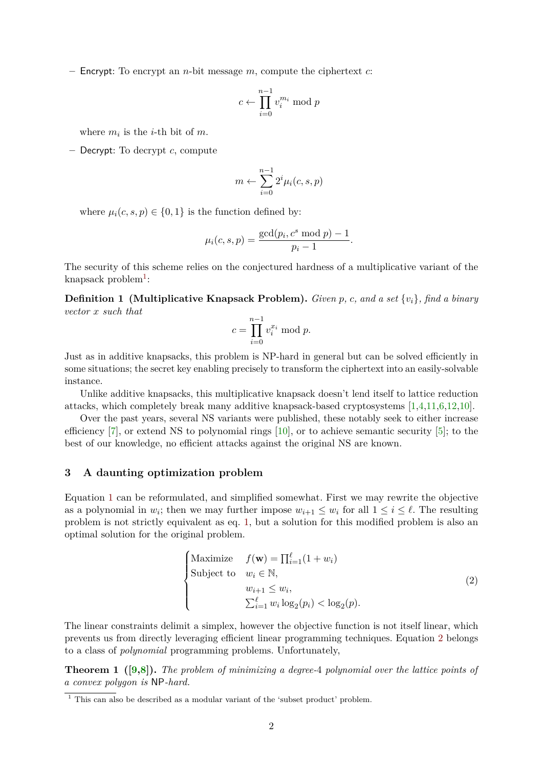**–** Encrypt: To encrypt an *n*-bit message *m*, compute the ciphertext *c*:

$$
c \leftarrow \prod_{i=0}^{n-1} v_i^{m_i} \bmod p
$$

where  $m_i$  is the *i*-th bit of  $m$ .

**–** Decrypt: To decrypt *c*, compute

$$
m \leftarrow \sum_{i=0}^{n-1} 2^i \mu_i(c, s, p)
$$

where  $\mu_i(c, s, p) \in \{0, 1\}$  is the function defined by:

$$
\mu_i(c, s, p) = \frac{\text{gcd}(p_i, c^s \mod p) - 1}{p_i - 1}.
$$

The security of this scheme relies on the conjectured hardness of a multiplicative variant of the knapsack problem<sup>[1](#page-1-0)</sup>:

**Definition 1 (Multiplicative Knapsack Problem).** *Given p, c, and a set* {*vi*}*, find a binary vector x such that*

$$
c = \prod_{i=0}^{n-1} v_i^{x_i} \bmod p.
$$

Just as in additive knapsacks, this problem is NP-hard in general but can be solved efficiently in some situations; the secret key enabling precisely to transform the ciphertext into an easily-solvable instance.

Unlike additive knapsacks, this multiplicative knapsack doesn't lend itself to lattice reduction attacks, which completely break many additive knapsack-based cryptosystems [\[1,](#page-7-0)[4,](#page-7-1)[11,](#page-7-2)[6,](#page-7-3)[12,](#page-8-1)[10\]](#page-7-4).

Over the past years, several NS variants were published, these notably seek to either increase efficiency [\[7\]](#page-7-5), or extend NS to polynomial rings  $[10]$ , or to achieve semantic security [\[5\]](#page-7-6); to the best of our knowledge, no efficient attacks against the original NS are known.

## <span id="page-1-3"></span>**3 A daunting optimization problem**

Equation [1](#page-0-0) can be reformulated, and simplified somewhat. First we may rewrite the objective as a polynomial in  $w_i$ ; then we may further impose  $w_{i+1} \leq w_i$  for all  $1 \leq i \leq \ell$ . The resulting problem is not strictly equivalent as eq. [1,](#page-0-0) but a solution for this modified problem is also an optimal solution for the original problem.

<span id="page-1-2"></span><span id="page-1-1"></span>
$$
\begin{cases}\n\text{Maximize} & f(\mathbf{w}) = \prod_{i=1}^{\ell} (1 + w_i) \\
\text{Subject to} & w_i \in \mathbb{N}, \\
& w_{i+1} \leq w_i, \\
& \sum_{i=1}^{\ell} w_i \log_2(p_i) < \log_2(p).\n\end{cases} \tag{2}
$$

The linear constraints delimit a simplex, however the objective function is not itself linear, which prevents us from directly leveraging efficient linear programming techniques. Equation [2](#page-1-1) belongs to a class of *polynomial* programming problems. Unfortunately,

**Theorem 1 ([\[9](#page-7-7)[,8\]](#page-7-8)).** *The problem of minimizing a degree-*4 *polynomial over the lattice points of a convex polygon is* NP*-hard.*

<span id="page-1-0"></span> $\frac{1}{1}$  This can also be described as a modular variant of the 'subset product' problem.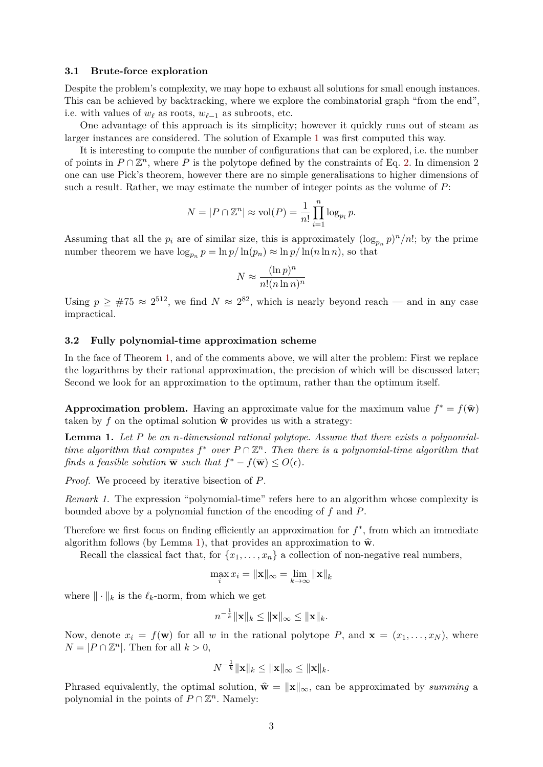#### **3.1 Brute-force exploration**

Despite the problem's complexity, we may hope to exhaust all solutions for small enough instances. This can be achieved by backtracking, where we explore the combinatorial graph "from the end", i.e. with values of  $w_\ell$  as roots,  $w_{\ell-1}$  as subroots, etc.

One advantage of this approach is its simplicity; however it quickly runs out of steam as larger instances are considered. The solution of Example [1](#page-0-1) was first computed this way.

It is interesting to compute the number of configurations that can be explored, i.e. the number of points in  $P \cap \mathbb{Z}^n$ , where P is the polytope defined by the constraints of Eq. [2.](#page-1-1) In dimension 2 one can use Pick's theorem, however there are no simple generalisations to higher dimensions of such a result. Rather, we may estimate the number of integer points as the volume of *P*:

$$
N = |P \cap \mathbb{Z}^n| \approx \text{vol}(P) = \frac{1}{n!} \prod_{i=1}^n \log_{p_i} p.
$$

Assuming that all the  $p_i$  are of similar size, this is approximately  $(\log_{p_n} p)^n/n!$ ; by the prime number theorem we have  $\log_{p_n} p = \ln p / \ln(p_n) \approx \ln p / \ln(n \ln n)$ , so that

<span id="page-2-0"></span>
$$
N \approx \frac{(\ln p)^n}{n!(n\ln n)^n}
$$

Using  $p \geq #75 \approx 2^{512}$ , we find  $N \approx 2^{82}$ , which is nearly beyond reach — and in any case impractical.

#### **3.2 Fully polynomial-time approximation scheme**

In the face of Theorem [1,](#page-1-2) and of the comments above, we will alter the problem: First we replace the logarithms by their rational approximation, the precision of which will be discussed later; Second we look for an approximation to the optimum, rather than the optimum itself.

**Approximation problem.** Having an approximate value for the maximum value  $f^* = f(\hat{\mathbf{w}})$ taken by f on the optimal solution  $\hat{\mathbf{w}}$  provides us with a strategy:

**Lemma 1.** *Let P be an n-dimensional rational polytope. Assume that there exists a polynomialtime algorithm that computes*  $f^*$  *over*  $P \cap \mathbb{Z}^n$ . Then there is a polynomial-time algorithm that *finds a feasible solution*  $\overline{\mathbf{w}}$  *such that*  $f^* - f(\overline{\mathbf{w}}) \le O(\epsilon)$ *.* 

*Proof.* We proceed by iterative bisection of *P*.

*Remark 1.* The expression "polynomial-time" refers here to an algorithm whose complexity is bounded above by a polynomial function of the encoding of *f* and *P*.

Therefore we first focus on finding efficiently an approximation for  $f^*$ , from which an immediate algorithm follows (by Lemma [1\)](#page-2-0), that provides an approximation to  $\hat{\mathbf{w}}$ .

Recall the classical fact that, for  $\{x_1, \ldots, x_n\}$  a collection of non-negative real numbers,

$$
\max_{i} x_i = \|\mathbf{x}\|_{\infty} = \lim_{k \to \infty} \|\mathbf{x}\|_{k}
$$

where  $\|\cdot\|_k$  is the  $\ell_k$ -norm, from which we get

$$
n^{-\frac{1}{k}} \|\mathbf{x}\|_k \le \|\mathbf{x}\|_{\infty} \le \|\mathbf{x}\|_k.
$$

Now, denote  $x_i = f(\mathbf{w})$  for all *w* in the rational polytope *P*, and  $\mathbf{x} = (x_1, \dots, x_N)$ , where  $N = |P \cap \mathbb{Z}^n|$ . Then for all  $k > 0$ ,

<span id="page-2-1"></span>
$$
N^{-\frac{1}{k}}\|\mathbf{x}\|_k\leq \|\mathbf{x}\|_{\infty}\leq \|\mathbf{x}\|_k.
$$

Phrased equivalently, the optimal solution,  $\hat{\mathbf{w}} = \|\mathbf{x}\|_{\infty}$ , can be approximated by *summing* a polynomial in the points of  $P \cap \mathbb{Z}^n$ . Namely: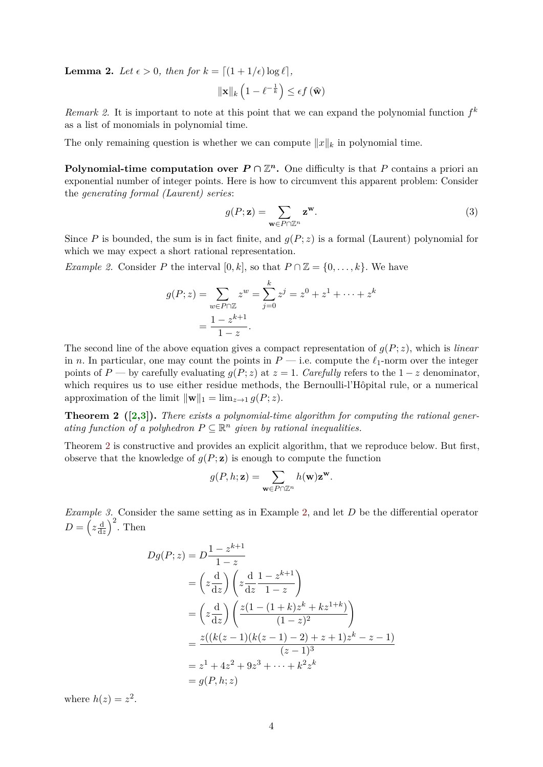**Lemma 2.** Let  $\epsilon > 0$ , then for  $k = \lfloor (1 + 1/\epsilon) \log \ell \rfloor$ ,

$$
\|\mathbf{x}\|_{k}\left(1-\ell^{-\frac{1}{k}}\right)\leq \epsilon f\left(\widehat{\mathbf{w}}\right)
$$

*Remark 2.* It is important to note at this point that we can expand the polynomial function  $f^k$ as a list of monomials in polynomial time.

The only remaining question is whether we can compute  $||x||_k$  in polynomial time.

**Polynomial-time computation over**  $P \cap \mathbb{Z}^n$ **.** One difficulty is that P contains a priori an exponential number of integer points. Here is how to circumvent this apparent problem: Consider the *generating formal (Laurent) series*:

<span id="page-3-1"></span>
$$
g(P; \mathbf{z}) = \sum_{\mathbf{w} \in P \cap \mathbb{Z}^n} \mathbf{z}^{\mathbf{w}}.
$$
 (3)

Since *P* is bounded, the sum is in fact finite, and  $q(P; z)$  is a formal (Laurent) polynomial for which we may expect a short rational representation.

*Example 2.* Consider *P* the interval  $[0, k]$ , so that  $P \cap \mathbb{Z} = \{0, \ldots, k\}$ . We have

$$
g(P; z) = \sum_{w \in P \cap \mathbb{Z}} z^w = \sum_{j=0}^k z^j = z^0 + z^1 + \dots + z^k
$$

$$
= \frac{1 - z^{k+1}}{1 - z}.
$$

The second line of the above equation gives a compact representation of  $g(P; z)$ , which is *linear* in *n*. In particular, one may count the points in  $P$  — i.e. compute the  $\ell_1$ -norm over the integer points of *P* — by carefully evaluating  $g(P; z)$  at  $z = 1$ . *Carefully* refers to the  $1 - z$  denominator, which requires us to use either residue methods, the Bernoulli-l'Hôpital rule, or a numerical approximation of the limit  $\|\mathbf{w}\|_1 = \lim_{z \to 1} g(P; z)$ .

<span id="page-3-0"></span>**Theorem 2 ([\[2](#page-7-9)[,3\]](#page-7-10)).** *There exists a polynomial-time algorithm for computing the rational gener*ating function of a polyhedron  $P \subseteq \mathbb{R}^n$  given by rational inequalities.

Theorem [2](#page-3-0) is constructive and provides an explicit algorithm, that we reproduce below. But first, observe that the knowledge of  $g(P; \mathbf{z})$  is enough to compute the function

$$
g(P, h; \mathbf{z}) = \sum_{\mathbf{w} \in P \cap \mathbb{Z}^n} h(\mathbf{w}) \mathbf{z}^{\mathbf{w}}.
$$

<span id="page-3-2"></span>*Example 3.* Consider the same setting as in Example [2,](#page-3-1) and let *D* be the differential operator  $D = \left( z \frac{\mathrm{d}}{\mathrm{d}z} \right)$  $rac{d}{dz}$ <sup>2</sup>. Then

$$
Dg(P; z) = D \frac{1 - z^{k+1}}{1 - z}
$$
  
=  $\left(z \frac{d}{dz}\right) \left(z \frac{d}{dz} \frac{1 - z^{k+1}}{1 - z}\right)$   
=  $\left(z \frac{d}{dz}\right) \left(\frac{z(1 - (1 + k)z^k + kz^{1+k})}{(1 - z)^2}\right)$   
=  $\frac{z((k(z-1)(k(z-1) - 2) + z + 1)z^k - z - 1)}{(z-1)^3}$   
=  $z^1 + 4z^2 + 9z^3 + \dots + k^2 z^k$   
=  $g(P, h; z)$ 

<span id="page-3-3"></span>where  $h(z) = z^2$ .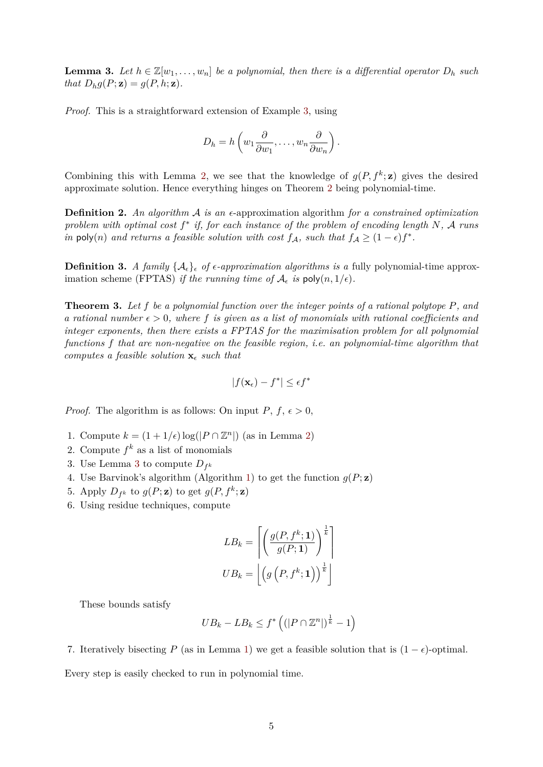**Lemma 3.** Let  $h \in \mathbb{Z}[w_1, \ldots, w_n]$  be a polynomial, then there is a differential operator  $D_h$  such *that*  $D_h g(P; \mathbf{z}) = g(P, h; \mathbf{z})$ *.* 

*Proof.* This is a straightforward extension of Example [3,](#page-3-2) using

$$
D_h = h\left(w_1\frac{\partial}{\partial w_1}, \dots, w_n\frac{\partial}{\partial w_n}\right).
$$

Combining this with Lemma [2,](#page-2-1) we see that the knowledge of  $g(P, f^k; \mathbf{z})$  gives the desired approximate solution. Hence everything hinges on Theorem [2](#page-3-0) being polynomial-time.

**Definition 2.** An algorithm A is an  $\epsilon$ -approximation algorithm for a constrained optimization *problem with optimal cost f* ∗ *if, for each instance of the problem of encoding length N,* A *runs in* poly(*n*) *and returns a feasible solution with cost*  $f_A$ *, such that*  $f_A \geq (1 - \epsilon)f^*$ *.* 

**Definition 3.** *A family*  $\{A_{\epsilon}\}_\epsilon$  *of*  $\epsilon$ -*approximation algorithms is a* fully polynomial-time approximation scheme (FPTAS) *if the running time of*  $A_{\epsilon}$  *is* poly $(n, 1/\epsilon)$ *.* 

**Theorem 3.** *Let f be a polynomial function over the integer points of a rational polytope P, and a rational number*  $\epsilon > 0$ , where f *is given as a list of monomials with rational coefficients and integer exponents, then there exists a FPTAS for the maximisation problem for all polynomial functions f that are non-negative on the feasible region, i.e. an polynomial-time algorithm that computes a feasible solution*  $\mathbf{x}_{\epsilon}$  *such that* 

$$
|f(\mathbf{x}_{\epsilon}) - f^*| \leq \epsilon f^*
$$

*Proof.* The algorithm is as follows: On input  $P, f, \epsilon > 0$ ,

- 1. Compute  $k = (1 + 1/\epsilon) \log(|P \cap \mathbb{Z}^n|)$  (as in Lemma [2\)](#page-2-1)
- 2. Compute  $f^k$  as a list of monomials
- [3](#page-3-3). Use Lemma 3 to compute  $D_{f^k}$
- 4. Use Barvinok's algorithm (Algorithm [1\)](#page-5-0) to get the function  $g(P; \mathbf{z})$
- 5. Apply  $D_{f^k}$  to  $g(P; \mathbf{z})$  to get  $g(P, f^k; \mathbf{z})$
- 6. Using residue techniques, compute

$$
LB_{k} = \left[ \left( \frac{g(P, f^{k}; \mathbf{1})}{g(P; \mathbf{1})} \right)^{\frac{1}{k}} \right]
$$

$$
UB_{k} = \left[ \left( g\left(P, f^{k}; \mathbf{1}\right) \right)^{\frac{1}{k}} \right]
$$

These bounds satisfy

$$
UB_k - LB_k \le f^* \left( (|P \cap \mathbb{Z}^n|)^{\frac{1}{k}} - 1 \right)
$$

7. Iteratively bisecting *P* (as in Lemma [1\)](#page-2-0) we get a feasible solution that is  $(1 - \epsilon)$ -optimal.

Every step is easily checked to run in polynomial time.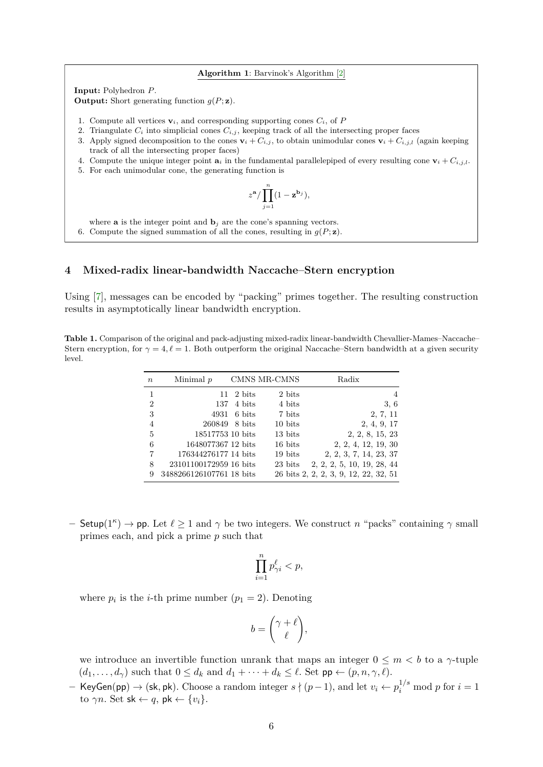#### <span id="page-5-0"></span>**Algorithm 1**: Barvinok's Algorithm [\[2\]](#page-7-9)

**Input:** Polyhedron *P*.

**Output:** Short generating function  $q(P; \mathbf{z})$ .

- 1. Compute all vertices  $\mathbf{v}_i$ , and corresponding supporting cones  $C_i$ , of P
- 2. Triangulate  $C_i$  into simplicial cones  $C_{i,j}$ , keeping track of all the intersecting proper faces
- 3. Apply signed decomposition to the cones  $\mathbf{v}_i + C_{i,j}$ , to obtain unimodular cones  $\mathbf{v}_i + C_{i,j,l}$  (again keeping track of all the intersecting proper faces)
- 4. Compute the unique integer point  $\mathbf{a}_i$  in the fundamental parallelepiped of every resulting cone  $\mathbf{v}_i + C_{i,j,l}$ .
- 5. For each unimodular cone, the generating function is

$$
z^{\mathbf{a}} / \prod_{j=1}^{n} (1 - \mathbf{z}^{\mathbf{b}_j}),
$$

where **a** is the integer point and  $\mathbf{b}_i$  are the cone's spanning vectors.

6. Compute the signed summation of all the cones, resulting in  $g(P; \mathbf{z})$ .

### **4 Mixed-radix linear-bandwidth Naccache–Stern encryption**

Using [\[7\]](#page-7-5), messages can be encoded by "packing" primes together. The resulting construction results in asymptotically linear bandwidth encryption.

<span id="page-5-1"></span>**Table 1.** Comparison of the original and pack-adjusting mixed-radix linear-bandwidth Chevallier-Mames–Naccache– Stern encryption, for  $\gamma = 4, \ell = 1$ . Both outperform the original Naccache–Stern bandwidth at a given security level.

| $\boldsymbol{n}$ | Minimal $p$              |                           | CMNS MR-CMNS | Radix                                 |
|------------------|--------------------------|---------------------------|--------------|---------------------------------------|
| 1                |                          | $11 \quad 2 \text{ bits}$ | 2 bits       | 4                                     |
| $\overline{2}$   | 137                      | 4 bits                    | 4 bits       | 3, 6                                  |
| 3                | 4931                     | 6 bits                    | 7 bits       | 2, 7, 11                              |
| $\overline{4}$   | 260849                   | 8 bits                    | 10 bits      | 2, 4, 9, 17                           |
| 5                | 18517753 10 bits         |                           | 13 bits      | 2, 2, 8, 15, 23                       |
| 6                | 1648077367 12 bits       |                           | 16 bits      | 2, 2, 4, 12, 19, 30                   |
| 7                | 176344276177 14 bits     |                           | 19 bits      | 2, 2, 3, 7, 14, 23, 37                |
| 8                | 23101100172959 16 bits   |                           | 23 bits      | 2, 2, 2, 5, 10, 19, 28, 44            |
| 9                | 3488266126107761 18 bits |                           |              | 26 bits 2, 2, 2, 3, 9, 12, 22, 32, 51 |

 $-$  Setup(1<sup>*κ*</sup>) → pp. Let  $\ell \ge 1$  and  $\gamma$  be two integers. We construct *n* "packs" containing  $\gamma$  small primes each, and pick a prime *p* such that

$$
\prod_{i=1}^n p_{\gamma i}^\ell < p,
$$

where  $p_i$  is the *i*-th prime number  $(p_1 = 2)$ . Denoting

$$
b = \binom{\gamma + \ell}{\ell},
$$

we introduce an invertible function unrank that maps an integer  $0 \leq m < b$  to a  $\gamma$ -tuple  $(d_1, \ldots, d_\gamma)$  such that  $0 \leq d_k$  and  $d_1 + \cdots + d_k \leq \ell$ . Set  $pp \leftarrow (p, n, \gamma, \ell)$ .

**–** KeyGen(pp) → (sk, pk). Choose a random integer  $s \nmid (p-1)$ , and let  $v_i \leftarrow p_i^{1/s} \text{ mod } p$  for  $i = 1$ to  $\gamma n$ . Set sk  $\leftarrow q$ , pk  $\leftarrow \{v_i\}$ .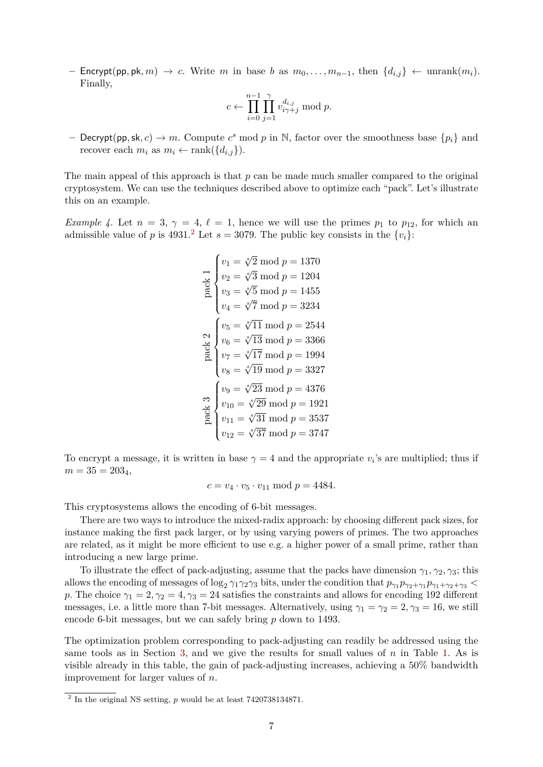**–** Encrypt(pp*,* pk*, m*) → *c*. Write *m* in base *b* as *m*0*, . . . , mn*−1, then {*di,j*} ← unrank(*mi*). Finally,

$$
c \leftarrow \prod_{i=0}^{n-1} \prod_{j=1}^\gamma v_{i\gamma + j}^{d_{i,j}} \bmod p.
$$

**–** Decrypt(pp, sk, c)  $\rightarrow$  *m*. Compute  $c^s$  mod  $p$  in N, factor over the smoothness base  $\{p_i\}$  and recover each  $m_i$  as  $m_i \leftarrow \text{rank}(\{d_{i,j}\})$ .

The main appeal of this approach is that *p* can be made much smaller compared to the original cryptosystem. We can use the techniques described above to optimize each "pack". Let's illustrate this on an example.

*Example 4.* Let  $n = 3$ ,  $\gamma = 4$ ,  $\ell = 1$ , hence we will use the primes  $p_1$  to  $p_{12}$ , for which an admissible value of *p* is 4931.<sup>[2](#page-6-0)</sup> Let  $s = 3079$ . The public key consists in the  $\{v_i\}$ :

$$
\begin{array}{c}\n\frac{1}{2} & v_1 = \sqrt[4]{2} \mod p = 1370 \\
\frac{1}{2} & v_2 = \sqrt[4]{3} \mod p = 1204 \\
v_3 = \sqrt[4]{5} \mod p = 1455 \\
v_4 = \sqrt[4]{7} \mod p = 3234 \\
\frac{1}{2} & v_5 = \sqrt[4]{11} \mod p = 2544 \\
\frac{1}{2} & v_6 = \sqrt[4]{13} \mod p = 3366 \\
\frac{1}{2} & v_7 = \sqrt[4]{17} \mod p = 1994 \\
v_8 = \sqrt[4]{19} \mod p = 3327 \\
\frac{1}{2} & v_9 = \sqrt[4]{23} \mod p = 4376 \\
\frac{1}{2} & v_{10} = \sqrt[4]{29} \mod p = 1921 \\
\frac{1}{2} & v_{11} = \sqrt[4]{31} \mod p = 3537 \\
v_{12} = \sqrt[4]{37} \mod p = 3747\n\end{array}
$$

To encrypt a message, it is written in base  $\gamma = 4$  and the appropriate  $v_i$ 's are multiplied; thus if  $m = 35 = 203_4,$ 

$$
c = v_4 \cdot v_5 \cdot v_{11} \bmod p = 4484.
$$

This cryptosystems allows the encoding of 6-bit messages.

There are two ways to introduce the mixed-radix approach: by choosing different pack sizes, for instance making the first pack larger, or by using varying powers of primes. The two approaches are related, as it might be more efficient to use e.g. a higher power of a small prime, rather than introducing a new large prime.

To illustrate the effect of pack-adjusting, assume that the packs have dimension  $\gamma_1, \gamma_2, \gamma_3$ ; this allows the encoding of messages of  $\log_2 \gamma_1 \gamma_2 \gamma_3$  bits, under the condition that  $p_{\gamma_1} p_{\gamma_2 + \gamma_1} p_{\gamma_1 + \gamma_2 + \gamma_3}$ *p*. The choice  $\gamma_1 = 2, \gamma_2 = 4, \gamma_3 = 24$  satisfies the constraints and allows for encoding 192 different messages, i.e. a little more than 7-bit messages. Alternatively, using  $\gamma_1 = \gamma_2 = 2, \gamma_3 = 16$ , we still encode 6-bit messages, but we can safely bring *p* down to 1493.

The optimization problem corresponding to pack-adjusting can readily be addressed using the same tools as in Section [3,](#page-1-3) and we give the results for small values of *n* in Table [1.](#page-5-1) As is visible already in this table, the gain of pack-adjusting increases, achieving a 50% bandwidth improvement for larger values of *n*.

<span id="page-6-0"></span><sup>2</sup> In the original NS setting, *p* would be at least 7420738134871.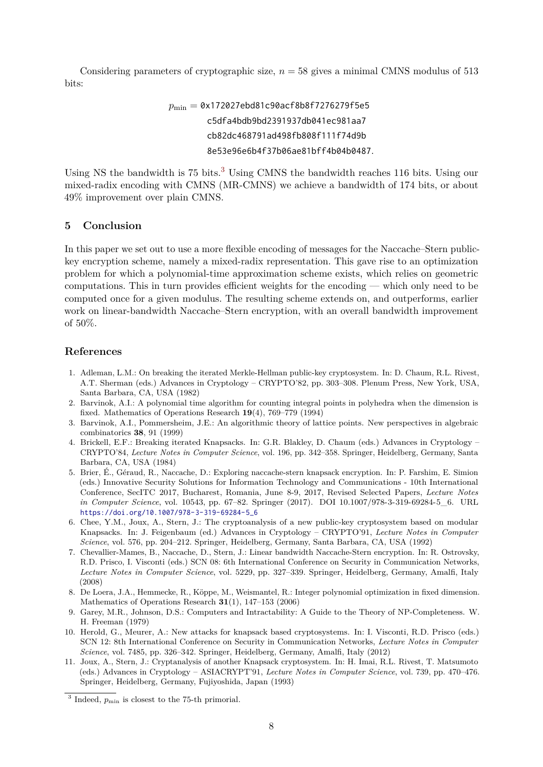Considering parameters of cryptographic size, *n* = 58 gives a minimal CMNS modulus of 513 bits:

# *p*min = 0x172027ebd81c90acf8b8f7276279f5e5 c5dfa4bdb9bd2391937db041ec981aa7 cb82dc468791ad498fb808f111f74d9b 8e53e96e6b4f37b06ae81bff4b04b0487*.*

Using NS the bandwidth is 75 bits.<sup>[3](#page-7-11)</sup> Using CMNS the bandwidth reaches 116 bits. Using our mixed-radix encoding with CMNS (MR-CMNS) we achieve a bandwidth of 174 bits, or about 49% improvement over plain CMNS.

## **5 Conclusion**

In this paper we set out to use a more flexible encoding of messages for the Naccache–Stern publickey encryption scheme, namely a mixed-radix representation. This gave rise to an optimization problem for which a polynomial-time approximation scheme exists, which relies on geometric computations. This in turn provides efficient weights for the encoding — which only need to be computed once for a given modulus. The resulting scheme extends on, and outperforms, earlier work on linear-bandwidth Naccache–Stern encryption, with an overall bandwidth improvement of 50%.

## **References**

- <span id="page-7-0"></span>1. Adleman, L.M.: On breaking the iterated Merkle-Hellman public-key cryptosystem. In: D. Chaum, R.L. Rivest, A.T. Sherman (eds.) Advances in Cryptology – CRYPTO'82, pp. 303–308. Plenum Press, New York, USA, Santa Barbara, CA, USA (1982)
- <span id="page-7-9"></span>2. Barvinok, A.I.: A polynomial time algorithm for counting integral points in polyhedra when the dimension is fixed. Mathematics of Operations Research **19**(4), 769–779 (1994)
- <span id="page-7-10"></span>3. Barvinok, A.I., Pommersheim, J.E.: An algorithmic theory of lattice points. New perspectives in algebraic combinatorics **38**, 91 (1999)
- <span id="page-7-1"></span>4. Brickell, E.F.: Breaking iterated Knapsacks. In: G.R. Blakley, D. Chaum (eds.) Advances in Cryptology – CRYPTO'84, *Lecture Notes in Computer Science*, vol. 196, pp. 342–358. Springer, Heidelberg, Germany, Santa Barbara, CA, USA (1984)
- <span id="page-7-6"></span>5. Brier, É., Géraud, R., Naccache, D.: Exploring naccache-stern knapsack encryption. In: P. Farshim, E. Simion (eds.) Innovative Security Solutions for Information Technology and Communications - 10th International Conference, SecITC 2017, Bucharest, Romania, June 8-9, 2017, Revised Selected Papers, *Lecture Notes in Computer Science*, vol. 10543, pp. 67–82. Springer (2017). DOI 10.1007/978-3-319-69284-5\_6. URL [https://doi.org/10.1007/978-3-319-69284-5\\_6](https://doi.org/10.1007/978-3-319-69284-5_6)
- <span id="page-7-3"></span>6. Chee, Y.M., Joux, A., Stern, J.: The cryptoanalysis of a new public-key cryptosystem based on modular Knapsacks. In: J. Feigenbaum (ed.) Advances in Cryptology – CRYPTO'91, *Lecture Notes in Computer Science*, vol. 576, pp. 204–212. Springer, Heidelberg, Germany, Santa Barbara, CA, USA (1992)
- <span id="page-7-5"></span>7. Chevallier-Mames, B., Naccache, D., Stern, J.: Linear bandwidth Naccache-Stern encryption. In: R. Ostrovsky, R.D. Prisco, I. Visconti (eds.) SCN 08: 6th International Conference on Security in Communication Networks, *Lecture Notes in Computer Science*, vol. 5229, pp. 327–339. Springer, Heidelberg, Germany, Amalfi, Italy (2008)
- <span id="page-7-8"></span>8. De Loera, J.A., Hemmecke, R., Köppe, M., Weismantel, R.: Integer polynomial optimization in fixed dimension. Mathematics of Operations Research **31**(1), 147–153 (2006)
- <span id="page-7-7"></span>9. Garey, M.R., Johnson, D.S.: Computers and Intractability: A Guide to the Theory of NP-Completeness. W. H. Freeman (1979)
- <span id="page-7-4"></span>10. Herold, G., Meurer, A.: New attacks for knapsack based cryptosystems. In: I. Visconti, R.D. Prisco (eds.) SCN 12: 8th International Conference on Security in Communication Networks, *Lecture Notes in Computer Science*, vol. 7485, pp. 326–342. Springer, Heidelberg, Germany, Amalfi, Italy (2012)
- <span id="page-7-2"></span>11. Joux, A., Stern, J.: Cryptanalysis of another Knapsack cryptosystem. In: H. Imai, R.L. Rivest, T. Matsumoto (eds.) Advances in Cryptology – ASIACRYPT'91, *Lecture Notes in Computer Science*, vol. 739, pp. 470–476. Springer, Heidelberg, Germany, Fujiyoshida, Japan (1993)

<span id="page-7-11"></span><sup>&</sup>lt;sup>3</sup> Indeed,  $p_{\min}$  is closest to the 75-th primorial.